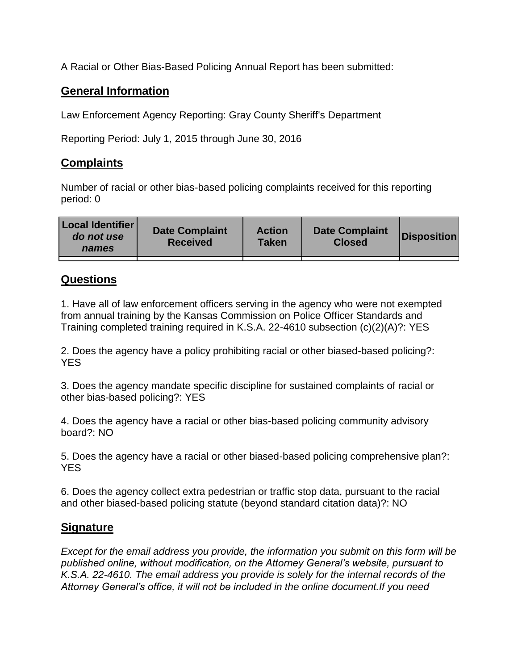A Racial or Other Bias-Based Policing Annual Report has been submitted:

## **General Information**

Law Enforcement Agency Reporting: Gray County Sheriff's Department

Reporting Period: July 1, 2015 through June 30, 2016

## **Complaints**

Number of racial or other bias-based policing complaints received for this reporting period: 0

| <b>Local Identifier</b><br>do not use<br>names | <b>Date Complaint</b><br><b>Received</b> | <b>Action</b><br><b>Taken</b> | <b>Date Complaint</b><br><b>Closed</b> | Disposition |
|------------------------------------------------|------------------------------------------|-------------------------------|----------------------------------------|-------------|
|                                                |                                          |                               |                                        |             |

## **Questions**

1. Have all of law enforcement officers serving in the agency who were not exempted from annual training by the Kansas Commission on Police Officer Standards and Training completed training required in K.S.A. 22-4610 subsection (c)(2)(A)?: YES

2. Does the agency have a policy prohibiting racial or other biased-based policing?: YES

3. Does the agency mandate specific discipline for sustained complaints of racial or other bias-based policing?: YES

4. Does the agency have a racial or other bias-based policing community advisory board?: NO

5. Does the agency have a racial or other biased-based policing comprehensive plan?: YES

6. Does the agency collect extra pedestrian or traffic stop data, pursuant to the racial and other biased-based policing statute (beyond standard citation data)?: NO

## **Signature**

*Except for the email address you provide, the information you submit on this form will be published online, without modification, on the Attorney General's website, pursuant to K.S.A. 22-4610. The email address you provide is solely for the internal records of the Attorney General's office, it will not be included in the online document.If you need*